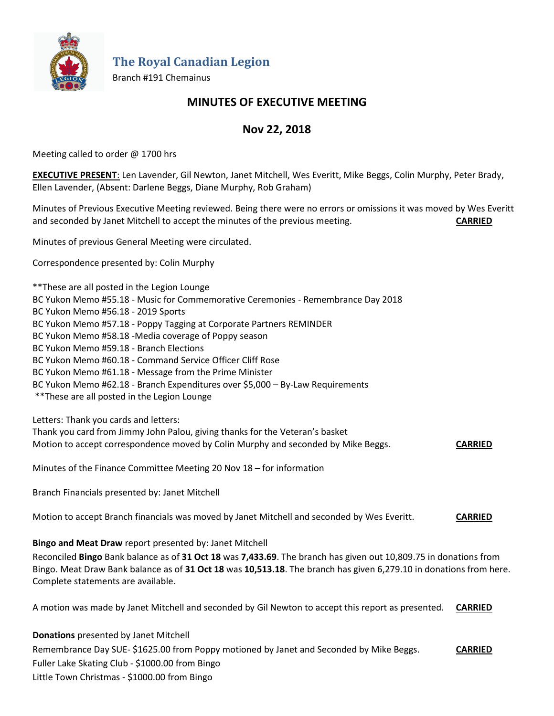

**The Royal Canadian Legion**

Branch #191 Chemainus

# **MINUTES OF EXECUTIVE MEETING**

## **Nov 22, 2018**

Meeting called to order @ 1700 hrs

**EXECUTIVE PRESENT**: Len Lavender, Gil Newton, Janet Mitchell, Wes Everitt, Mike Beggs, Colin Murphy, Peter Brady, Ellen Lavender, (Absent: Darlene Beggs, Diane Murphy, Rob Graham)

Minutes of Previous Executive Meeting reviewed. Being there were no errors or omissions it was moved by Wes Everitt and seconded by Janet Mitchell to accept the minutes of the previous meeting. **CARRIED**

Minutes of previous General Meeting were circulated.

Correspondence presented by: Colin Murphy

\*\*These are all posted in the Legion Lounge BC Yukon Memo #55.18 - Music for Commemorative Ceremonies - Remembrance Day 2018 BC Yukon Memo #56.18 - 2019 Sports BC Yukon Memo #57.18 - Poppy Tagging at Corporate Partners REMINDER BC Yukon Memo #58.18 -Media coverage of Poppy season BC Yukon Memo #59.18 - Branch Elections BC Yukon Memo #60.18 - Command Service Officer Cliff Rose BC Yukon Memo #61.18 - Message from the Prime Minister BC Yukon Memo #62.18 - Branch Expenditures over \$5,000 – By-Law Requirements \*\*These are all posted in the Legion Lounge Letters: Thank you cards and letters:

Thank you card from Jimmy John Palou, giving thanks for the Veteran's basket Motion to accept correspondence moved by Colin Murphy and seconded by Mike Beggs. **CARRIED**

Minutes of the Finance Committee Meeting 20 Nov 18 – for information

Branch Financials presented by: Janet Mitchell

Motion to accept Branch financials was moved by Janet Mitchell and seconded by Wes Everitt. **CARRIED**

**Bingo and Meat Draw** report presented by: Janet Mitchell

Reconciled **Bingo** Bank balance as of **31 Oct 18** was **7,433.69**. The branch has given out 10,809.75 in donations from Bingo. Meat Draw Bank balance as of **31 Oct 18** was **10,513.18**. The branch has given 6,279.10 in donations from here. Complete statements are available.

A motion was made by Janet Mitchell and seconded by Gil Newton to accept this report as presented. **CARRIED**

**Donations** presented by Janet Mitchell

Remembrance Day SUE- \$1625.00 from Poppy motioned by Janet and Seconded by Mike Beggs. **CARRIED** Fuller Lake Skating Club - \$1000.00 from Bingo Little Town Christmas - \$1000.00 from Bingo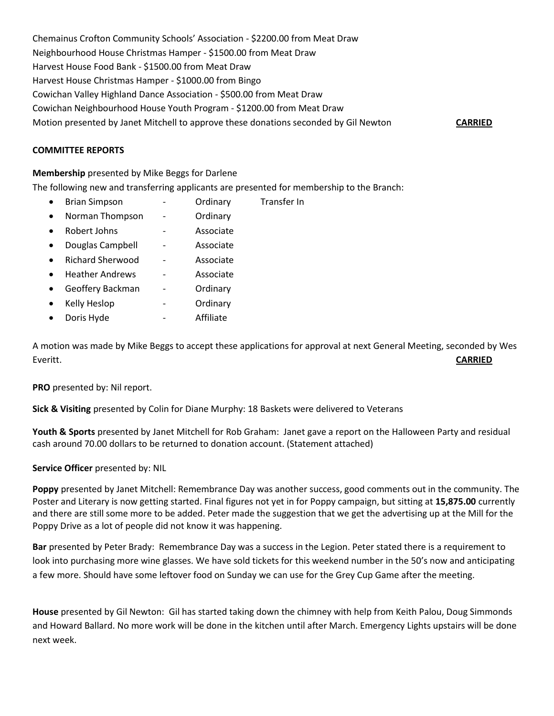Chemainus Crofton Community Schools' Association - \$2200.00 from Meat Draw Neighbourhood House Christmas Hamper - \$1500.00 from Meat Draw Harvest House Food Bank - \$1500.00 from Meat Draw Harvest House Christmas Hamper - \$1000.00 from Bingo Cowichan Valley Highland Dance Association - \$500.00 from Meat Draw Cowichan Neighbourhood House Youth Program - \$1200.00 from Meat Draw Motion presented by Janet Mitchell to approve these donations seconded by Gil Newton **CARRIED**

#### **COMMITTEE REPORTS**

#### **Membership** presented by Mike Beggs for Darlene

The following new and transferring applicants are presented for membership to the Branch:

- Brian Simpson Ordinary Transfer In
- Norman Thompson Ordinary
- Robert Johns Associate
- Douglas Campbell Associate
- Richard Sherwood Associate
- Heather Andrews Associate
- Geoffery Backman Ordinary
- Kelly Heslop The Heslop Condinary
- Doris Hyde **can be a controlled as a controlled a** Affiliate

A motion was made by Mike Beggs to accept these applications for approval at next General Meeting, seconded by Wes Everitt. **CARRIED**

**PRO** presented by: Nil report.

**Sick & Visiting** presented by Colin for Diane Murphy: 18 Baskets were delivered to Veterans

**Youth & Sports** presented by Janet Mitchell for Rob Graham: Janet gave a report on the Halloween Party and residual cash around 70.00 dollars to be returned to donation account. (Statement attached)

#### **Service Officer** presented by: NIL

**Poppy** presented by Janet Mitchell: Remembrance Day was another success, good comments out in the community. The Poster and Literary is now getting started. Final figures not yet in for Poppy campaign, but sitting at **15,875.00** currently and there are still some more to be added. Peter made the suggestion that we get the advertising up at the Mill for the Poppy Drive as a lot of people did not know it was happening.

**Bar** presented by Peter Brady: Remembrance Day was a success in the Legion. Peter stated there is a requirement to look into purchasing more wine glasses. We have sold tickets for this weekend number in the 50's now and anticipating a few more. Should have some leftover food on Sunday we can use for the Grey Cup Game after the meeting.

**House** presented by Gil Newton: Gil has started taking down the chimney with help from Keith Palou, Doug Simmonds and Howard Ballard. No more work will be done in the kitchen until after March. Emergency Lights upstairs will be done next week.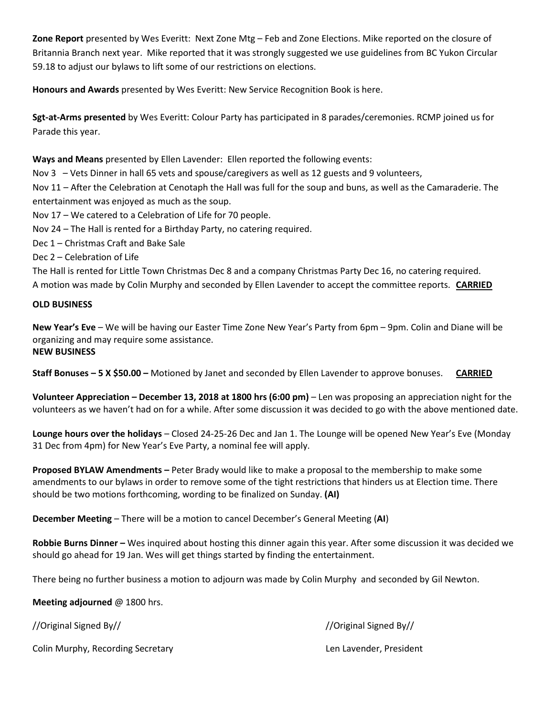**Zone Report** presented by Wes Everitt: Next Zone Mtg – Feb and Zone Elections. Mike reported on the closure of Britannia Branch next year. Mike reported that it was strongly suggested we use guidelines from BC Yukon Circular 59.18 to adjust our bylaws to lift some of our restrictions on elections.

**Honours and Awards** presented by Wes Everitt: New Service Recognition Book is here.

**Sgt-at-Arms presented** by Wes Everitt: Colour Party has participated in 8 parades/ceremonies. RCMP joined us for Parade this year.

**Ways and Means** presented by Ellen Lavender: Ellen reported the following events:

Nov 3 – Vets Dinner in hall 65 vets and spouse/caregivers as well as 12 guests and 9 volunteers,

Nov 11 – After the Celebration at Cenotaph the Hall was full for the soup and buns, as well as the Camaraderie. The entertainment was enjoyed as much as the soup.

- Nov 17 We catered to a Celebration of Life for 70 people.
- Nov 24 The Hall is rented for a Birthday Party, no catering required.
- Dec 1 Christmas Craft and Bake Sale
- Dec 2 Celebration of Life

The Hall is rented for Little Town Christmas Dec 8 and a company Christmas Party Dec 16, no catering required. A motion was made by Colin Murphy and seconded by Ellen Lavender to accept the committee reports. **CARRIED**

#### **OLD BUSINESS**

**New Year's Eve** – We will be having our Easter Time Zone New Year's Party from 6pm – 9pm. Colin and Diane will be organizing and may require some assistance. **NEW BUSINESS**

**Staff Bonuses – 5 X \$50.00 –** Motioned by Janet and seconded by Ellen Lavender to approve bonuses. **CARRIED**

**Volunteer Appreciation – December 13, 2018 at 1800 hrs (6:00 pm)** – Len was proposing an appreciation night for the volunteers as we haven't had on for a while. After some discussion it was decided to go with the above mentioned date.

**Lounge hours over the holidays** – Closed 24-25-26 Dec and Jan 1. The Lounge will be opened New Year's Eve (Monday 31 Dec from 4pm) for New Year's Eve Party, a nominal fee will apply.

**Proposed BYLAW Amendments –** Peter Brady would like to make a proposal to the membership to make some amendments to our bylaws in order to remove some of the tight restrictions that hinders us at Election time. There should be two motions forthcoming, wording to be finalized on Sunday. **(AI)**

**December Meeting** – There will be a motion to cancel December's General Meeting (**AI**)

**Robbie Burns Dinner –** Wes inquired about hosting this dinner again this year. After some discussion it was decided we should go ahead for 19 Jan. Wes will get things started by finding the entertainment.

There being no further business a motion to adjourn was made by Colin Murphy and seconded by Gil Newton.

**Meeting adjourned** @ 1800 hrs.

//Original Signed By// //Original Signed By//

Colin Murphy, Recording Secretary Len Lavender, President